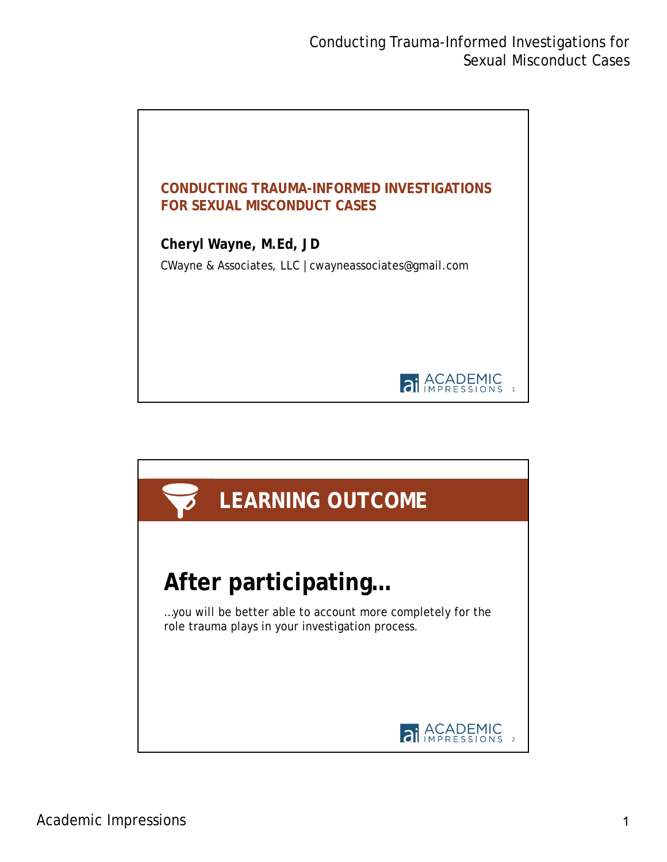

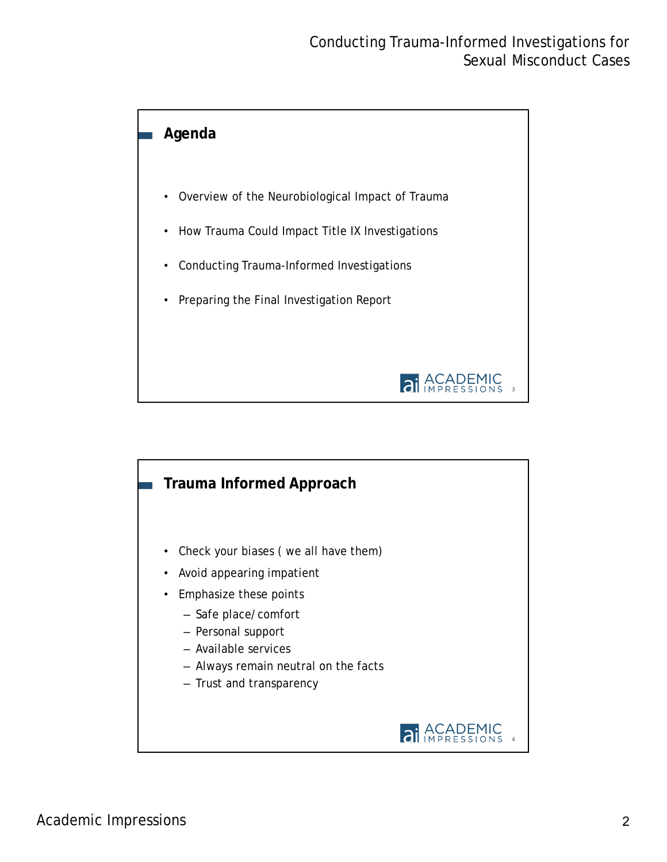

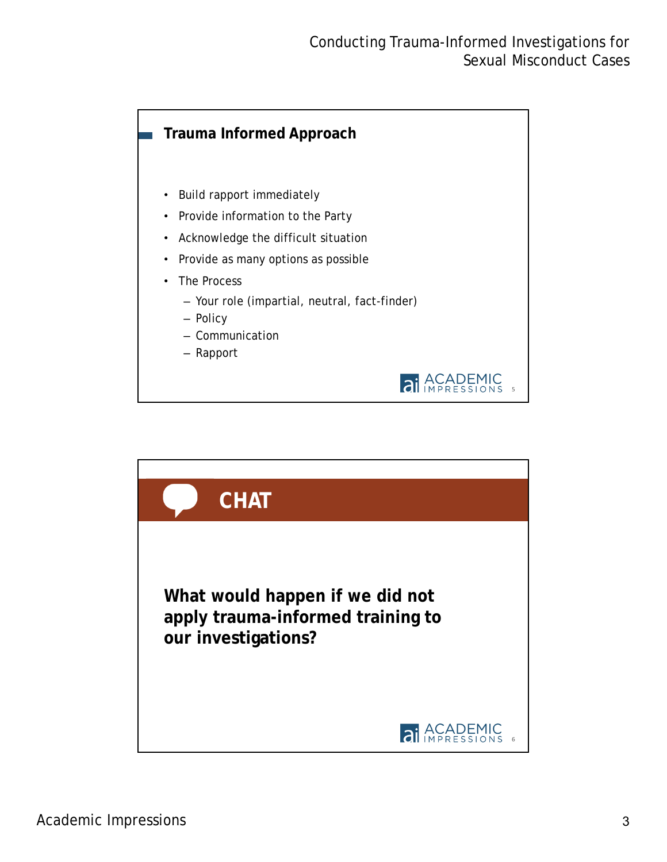

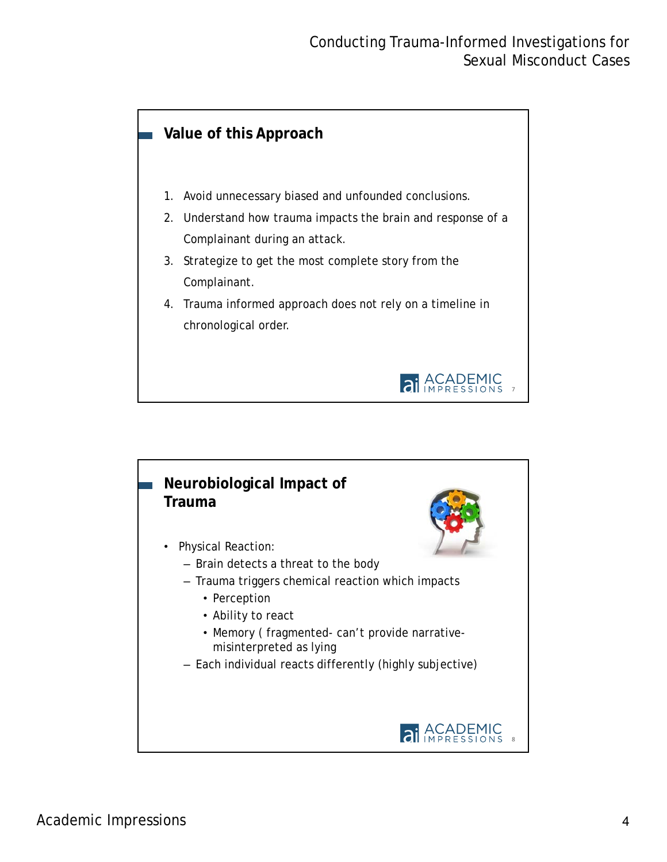# **Value of this Approach** 1. Avoid unnecessary biased and unfounded conclusions. 2. Understand how trauma impacts the brain and response of a Complainant during an attack. 3. Strategize to get the most complete story from the Complainant. 4. Trauma informed approach does not rely on a timeline in chronological order. **ai** ACADEMIC 7

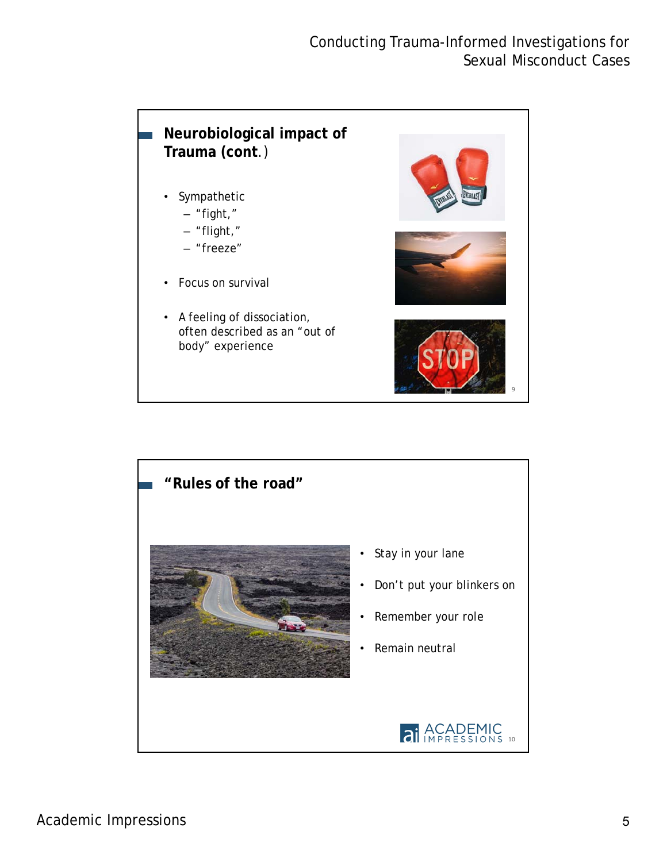# **Neurobiological impact of Trauma (cont**.)

- **Sympathetic** 
	- "fight,"
	- "flight,"
	- "freeze"
- Focus on survival
- A feeling of dissociation, often described as an "out of body" experience



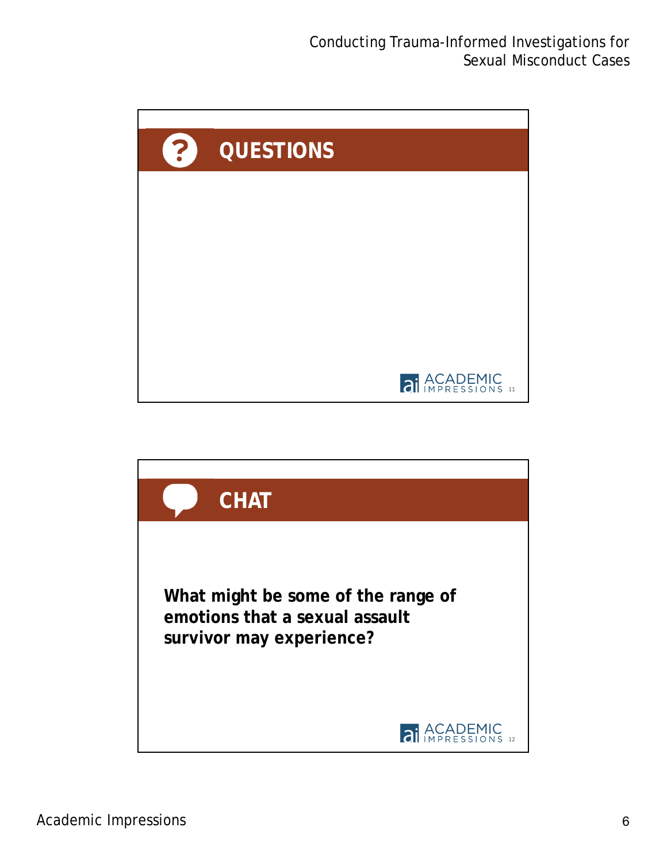

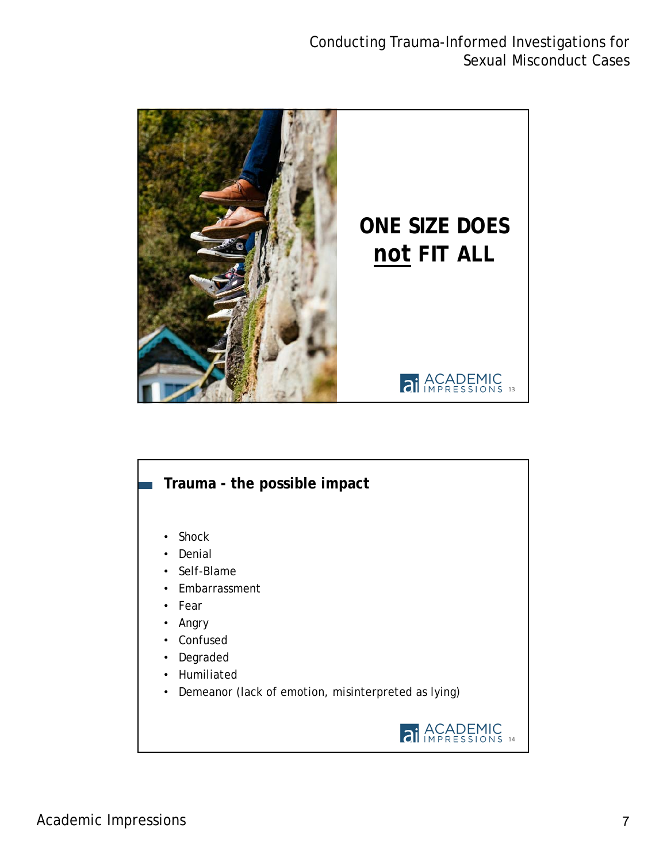

# **21** ACADEMIC • Shock **Denial** Self-Blame • Embarrassment **Fear** • Angry **Confused Degraded** • Humiliated • Demeanor (lack of emotion, misinterpreted as lying) **Trauma - the possible impact**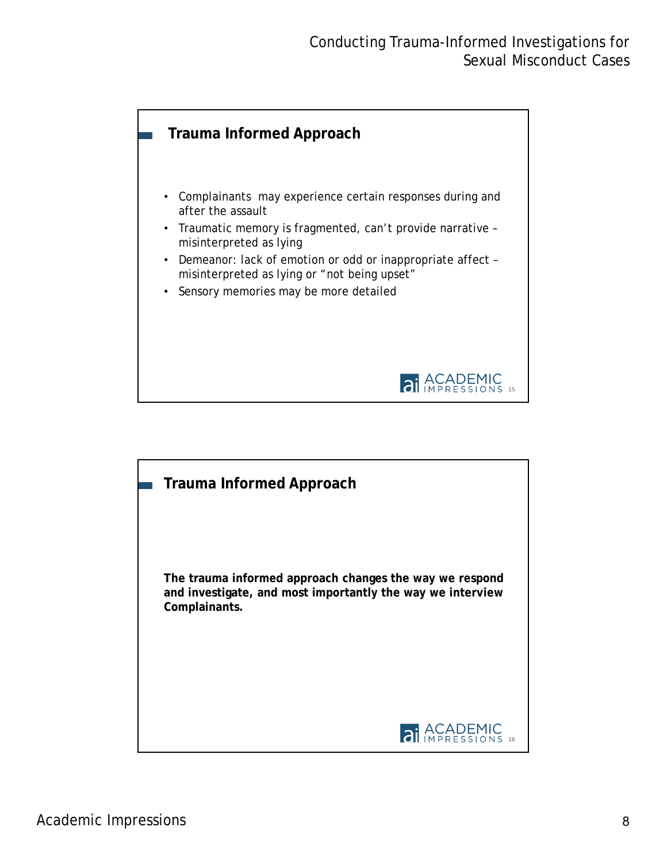

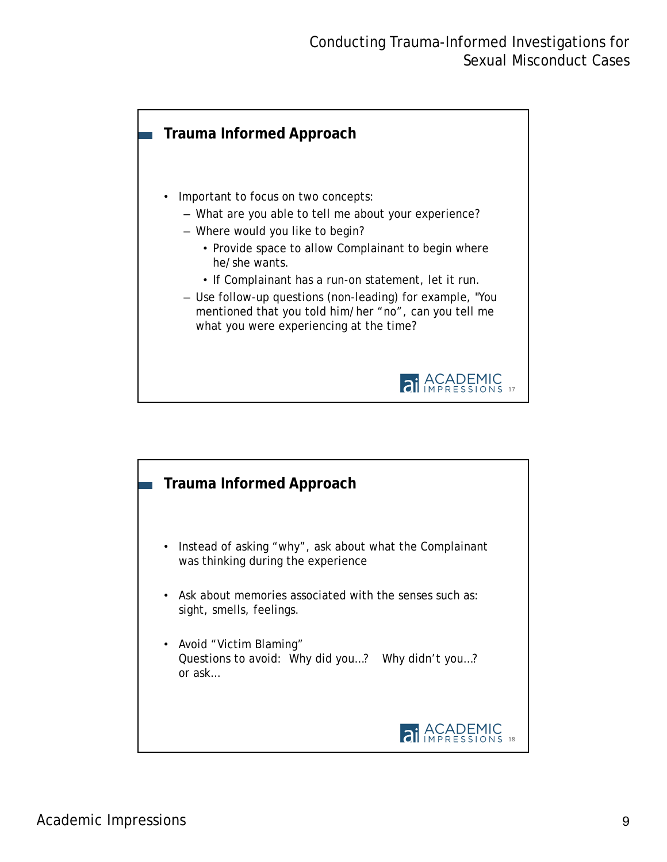

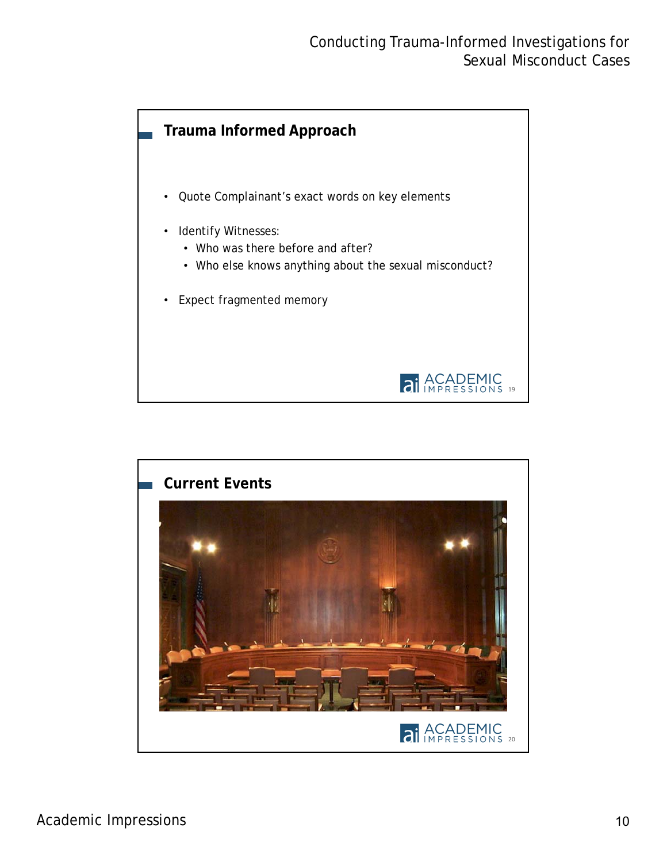

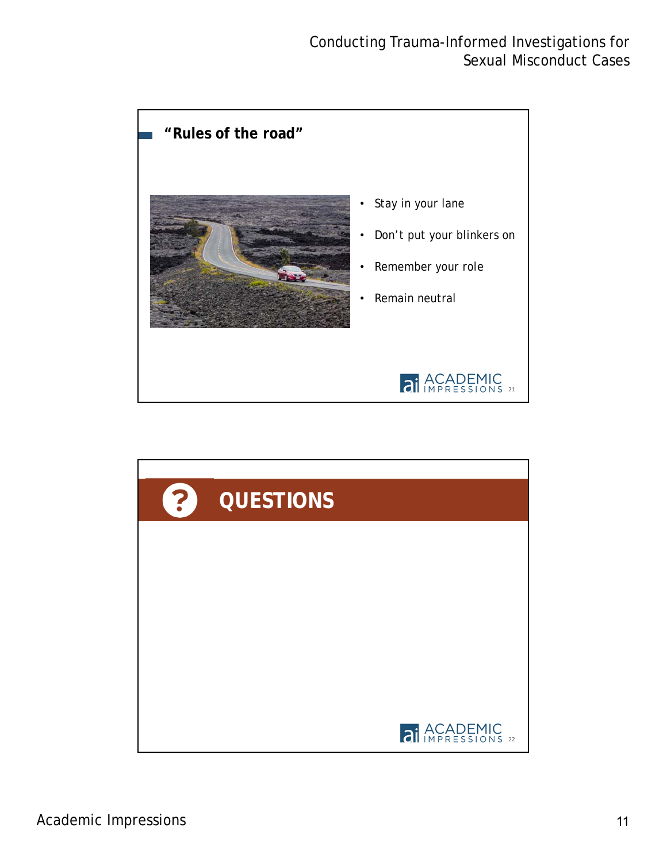

![](_page_10_Picture_2.jpeg)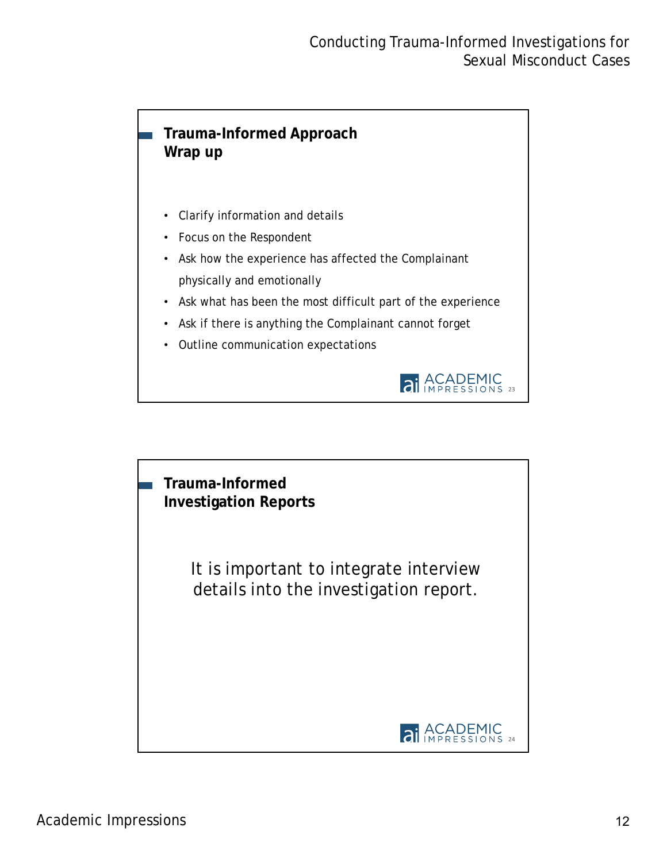### **Trauma-Informed Approach Wrap up**

- Clarify information and details
- Focus on the Respondent
- Ask how the experience has affected the Complainant physically and emotionally
- Ask what has been the most difficult part of the experience
- Ask if there is anything the Complainant cannot forget
- Outline communication expectations

![](_page_11_Picture_8.jpeg)

![](_page_11_Picture_9.jpeg)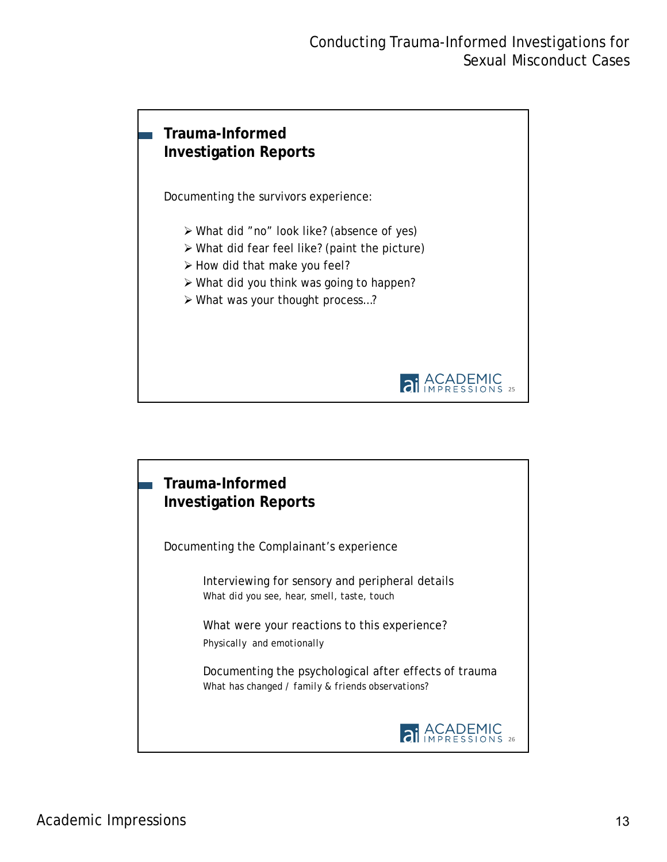# **Trauma-Informed Investigation Reports**

Documenting the survivors experience:

- What did "no" look like? (absence of yes)
- What did fear feel like? (paint the picture)
- $\triangleright$  How did that make you feel?
- What did you think was going to happen?
- What was your thought process…?

![](_page_12_Picture_8.jpeg)

![](_page_12_Picture_9.jpeg)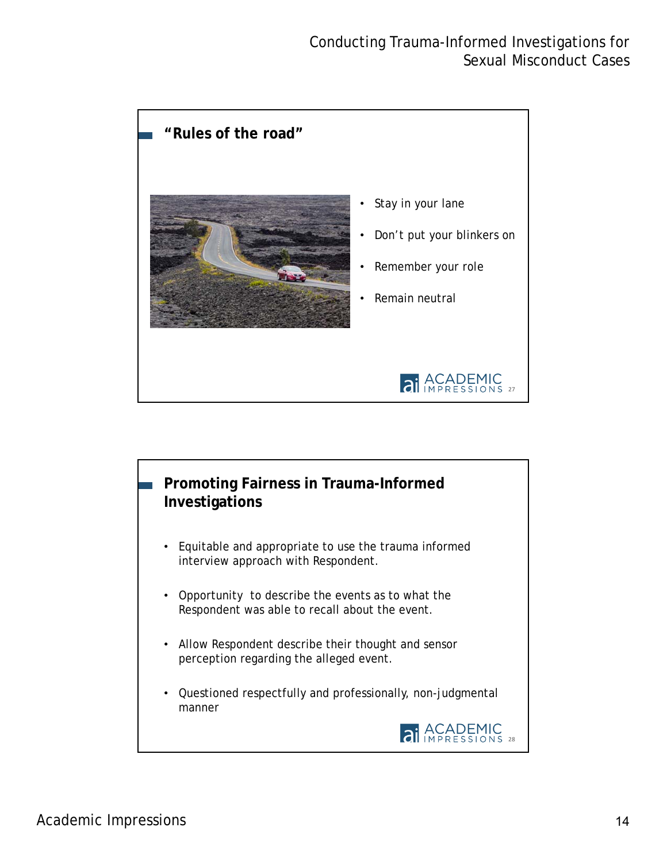![](_page_13_Figure_1.jpeg)

![](_page_13_Figure_2.jpeg)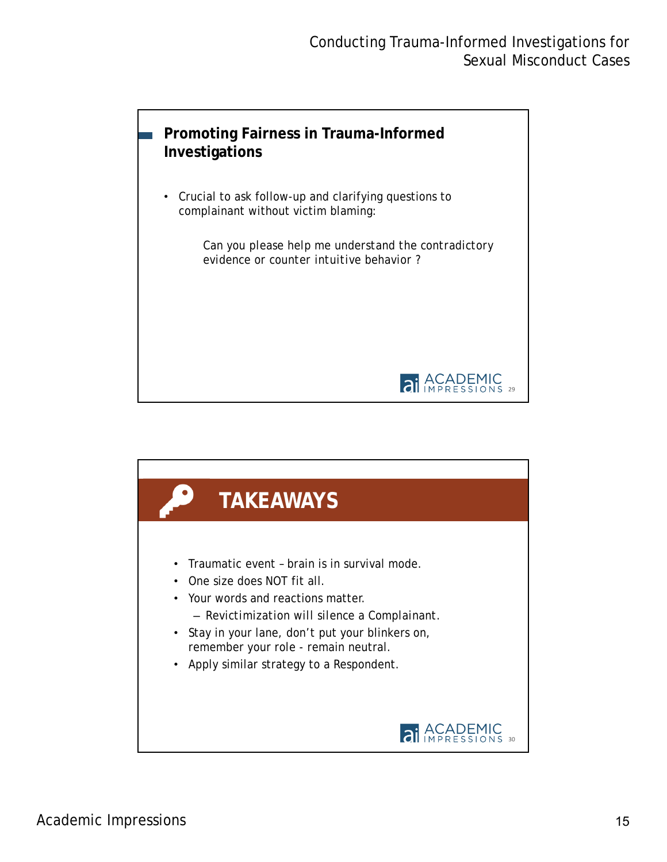![](_page_14_Picture_1.jpeg)

![](_page_14_Picture_2.jpeg)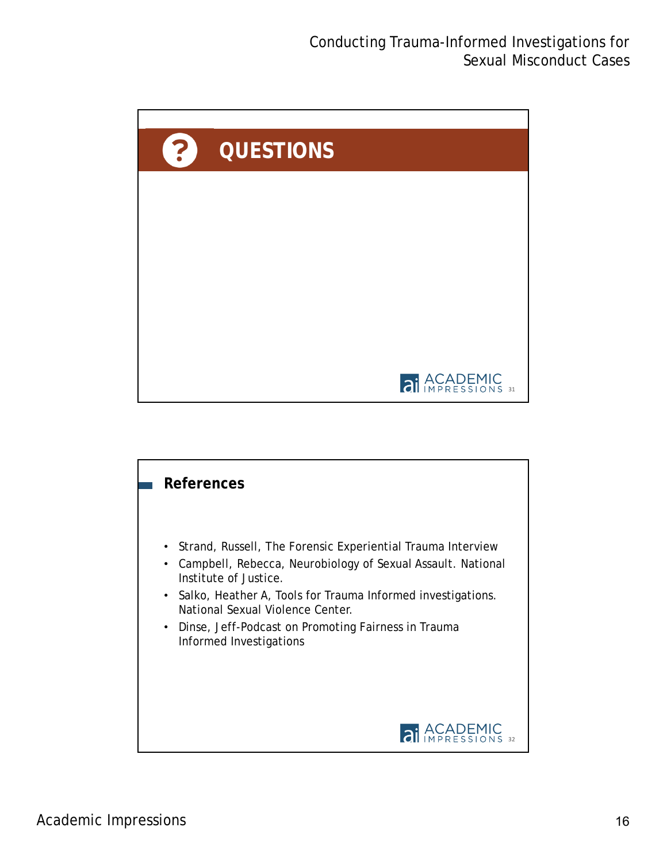![](_page_15_Picture_1.jpeg)

![](_page_15_Figure_2.jpeg)